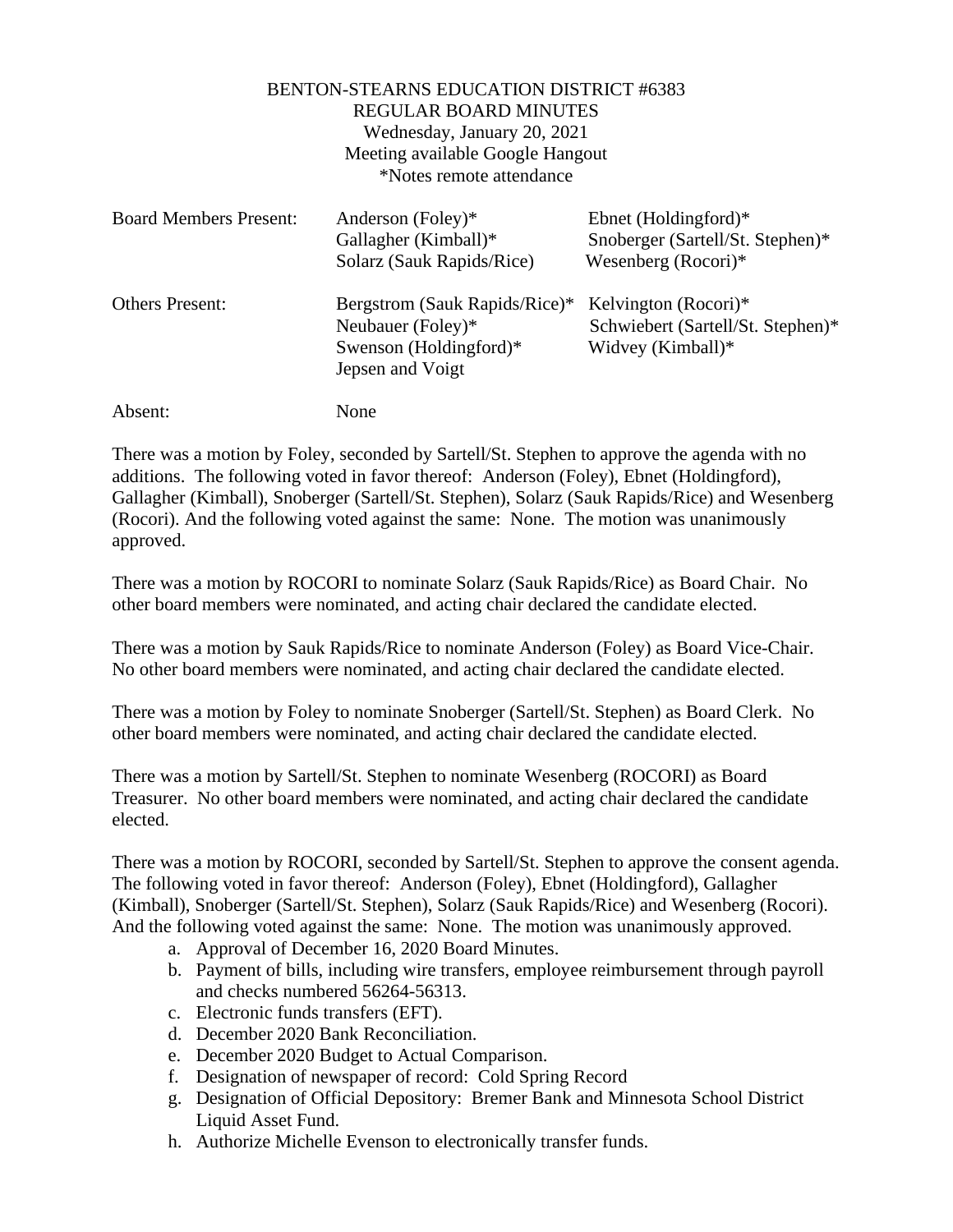## BENTON-STEARNS EDUCATION DISTRICT #6383 REGULAR BOARD MINUTES Wednesday, January 20, 2021 Meeting available Google Hangout \*Notes remote attendance

| <b>Board Members Present:</b> | Anderson (Foley)*<br>Gallagher (Kimball)*<br>Solarz (Sauk Rapids/Rice)                           | Ebnet (Holdingford) $*$<br>Snoberger (Sartell/St. Stephen)*<br>Wesenberg $(Rocori)*$ |
|-------------------------------|--------------------------------------------------------------------------------------------------|--------------------------------------------------------------------------------------|
| <b>Others Present:</b>        | Bergstrom (Sauk Rapids/Rice)*<br>Neubauer (Foley)*<br>Swenson (Holdingford)*<br>Jepsen and Voigt | Kelvington (Rocori)*<br>Schwiebert (Sartell/St. Stephen)*<br>Widvey (Kimball)*       |
| Absent:                       | None                                                                                             |                                                                                      |

There was a motion by Foley, seconded by Sartell/St. Stephen to approve the agenda with no additions. The following voted in favor thereof: Anderson (Foley), Ebnet (Holdingford), Gallagher (Kimball), Snoberger (Sartell/St. Stephen), Solarz (Sauk Rapids/Rice) and Wesenberg (Rocori). And the following voted against the same: None. The motion was unanimously approved.

There was a motion by ROCORI to nominate Solarz (Sauk Rapids/Rice) as Board Chair. No other board members were nominated, and acting chair declared the candidate elected.

There was a motion by Sauk Rapids/Rice to nominate Anderson (Foley) as Board Vice-Chair. No other board members were nominated, and acting chair declared the candidate elected.

There was a motion by Foley to nominate Snoberger (Sartell/St. Stephen) as Board Clerk. No other board members were nominated, and acting chair declared the candidate elected.

There was a motion by Sartell/St. Stephen to nominate Wesenberg (ROCORI) as Board Treasurer. No other board members were nominated, and acting chair declared the candidate elected.

There was a motion by ROCORI, seconded by Sartell/St. Stephen to approve the consent agenda. The following voted in favor thereof: Anderson (Foley), Ebnet (Holdingford), Gallagher (Kimball), Snoberger (Sartell/St. Stephen), Solarz (Sauk Rapids/Rice) and Wesenberg (Rocori). And the following voted against the same: None. The motion was unanimously approved.

- a. Approval of December 16, 2020 Board Minutes.
- b. Payment of bills, including wire transfers, employee reimbursement through payroll and checks numbered 56264-56313.
- c. Electronic funds transfers (EFT).
- d. December 2020 Bank Reconciliation.
- e. December 2020 Budget to Actual Comparison.
- f. Designation of newspaper of record: Cold Spring Record
- g. Designation of Official Depository: Bremer Bank and Minnesota School District Liquid Asset Fund.
- h. Authorize Michelle Evenson to electronically transfer funds.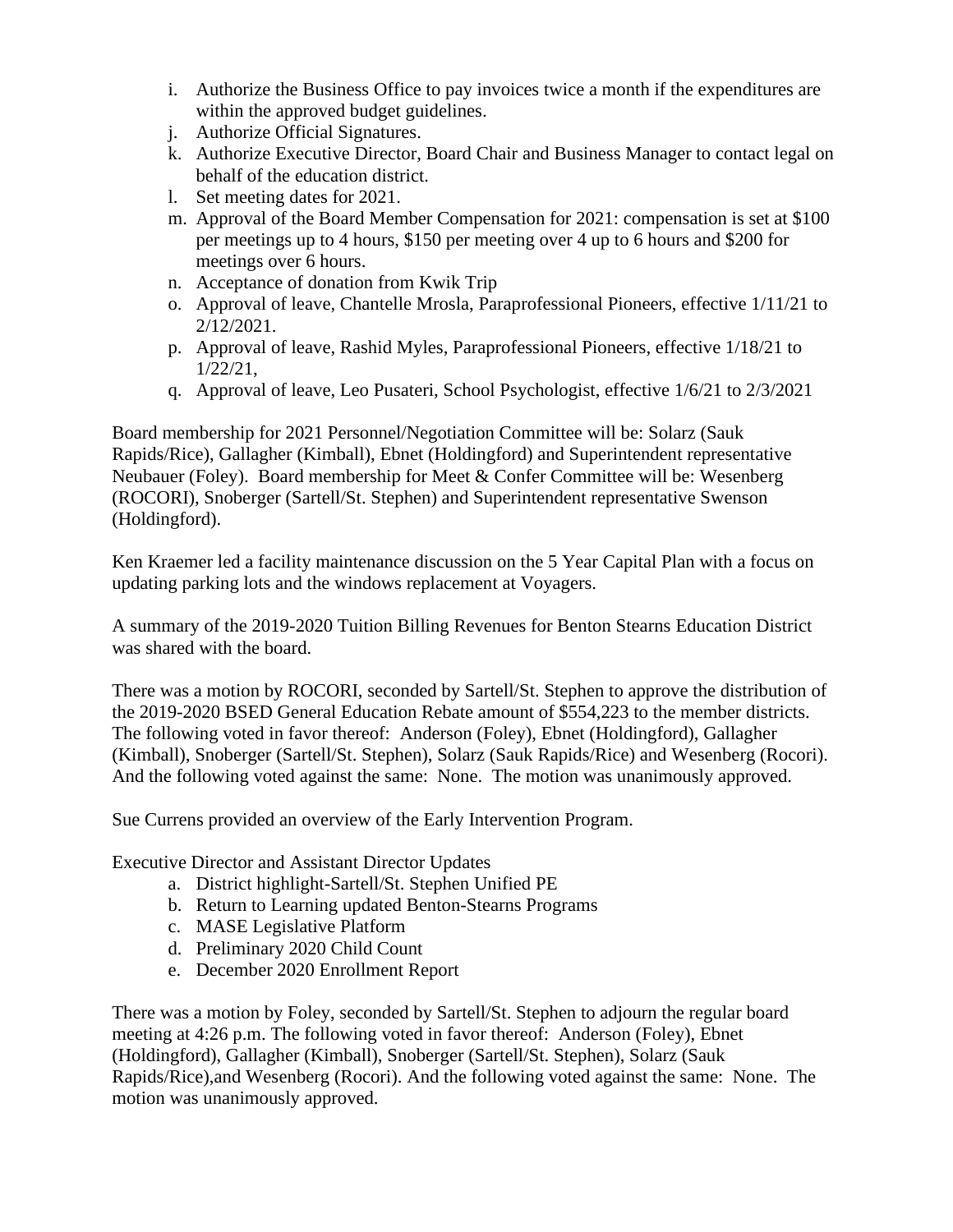- i. Authorize the Business Office to pay invoices twice a month if the expenditures are within the approved budget guidelines.
- j. Authorize Official Signatures.
- k. Authorize Executive Director, Board Chair and Business Manager to contact legal on behalf of the education district.
- l. Set meeting dates for 2021.
- m. Approval of the Board Member Compensation for 2021: compensation is set at \$100 per meetings up to 4 hours, \$150 per meeting over 4 up to 6 hours and \$200 for meetings over 6 hours.
- n. Acceptance of donation from Kwik Trip
- o. Approval of leave, Chantelle Mrosla, Paraprofessional Pioneers, effective 1/11/21 to 2/12/2021.
- p. Approval of leave, Rashid Myles, Paraprofessional Pioneers, effective 1/18/21 to 1/22/21,
- q. Approval of leave, Leo Pusateri, School Psychologist, effective 1/6/21 to 2/3/2021

Board membership for 2021 Personnel/Negotiation Committee will be: Solarz (Sauk Rapids/Rice), Gallagher (Kimball), Ebnet (Holdingford) and Superintendent representative Neubauer (Foley). Board membership for Meet & Confer Committee will be: Wesenberg (ROCORI), Snoberger (Sartell/St. Stephen) and Superintendent representative Swenson (Holdingford).

Ken Kraemer led a facility maintenance discussion on the 5 Year Capital Plan with a focus on updating parking lots and the windows replacement at Voyagers.

A summary of the 2019-2020 Tuition Billing Revenues for Benton Stearns Education District was shared with the board.

There was a motion by ROCORI, seconded by Sartell/St. Stephen to approve the distribution of the 2019-2020 BSED General Education Rebate amount of \$554,223 to the member districts. The following voted in favor thereof: Anderson (Foley), Ebnet (Holdingford), Gallagher (Kimball), Snoberger (Sartell/St. Stephen), Solarz (Sauk Rapids/Rice) and Wesenberg (Rocori). And the following voted against the same: None. The motion was unanimously approved.

Sue Currens provided an overview of the Early Intervention Program.

Executive Director and Assistant Director Updates

- a. District highlight-Sartell/St. Stephen Unified PE
- b. Return to Learning updated Benton-Stearns Programs
- c. MASE Legislative Platform
- d. Preliminary 2020 Child Count
- e. December 2020 Enrollment Report

There was a motion by Foley, seconded by Sartell/St. Stephen to adjourn the regular board meeting at 4:26 p.m. The following voted in favor thereof: Anderson (Foley), Ebnet (Holdingford), Gallagher (Kimball), Snoberger (Sartell/St. Stephen), Solarz (Sauk Rapids/Rice),and Wesenberg (Rocori). And the following voted against the same: None. The motion was unanimously approved.